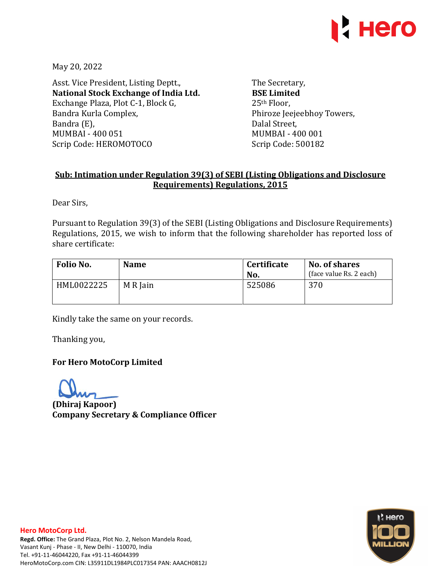

May 20, 2022

Asst. Vice President, Listing Deptt., **National Stock Exchange of India Ltd.**  Exchange Plaza, Plot C-1, Block G, Bandra Kurla Complex, Bandra (E), MUMBAI - 400 051 Scrip Code: HEROMOTOCO

The Secretary, **BSE Limited**  25th Floor, Phiroze Jeejeebhoy Towers, Dalal Street, MUMBAI - 400 001 Scrip Code: 500182

## **Sub: Intimation under Regulation 39(3) of SEBI (Listing Obligations and Disclosure Requirements) Regulations, 2015**

Dear Sirs,

Pursuant to Regulation 39(3) of the SEBI (Listing Obligations and Disclosure Requirements) Regulations, 2015, we wish to inform that the following shareholder has reported loss of share certificate:

| Folio No.  | <b>Name</b> | <b>Certificate</b><br>No. | No. of shares<br>(face value Rs. 2 each) |  |
|------------|-------------|---------------------------|------------------------------------------|--|
| HML0022225 | M R Jain    | 525086                    | 370                                      |  |

Kindly take the same on your records.

Thanking you,

## **For Hero MotoCorp Limited**

**(Dhiraj Kapoor) Company Secretary & Compliance Officer**